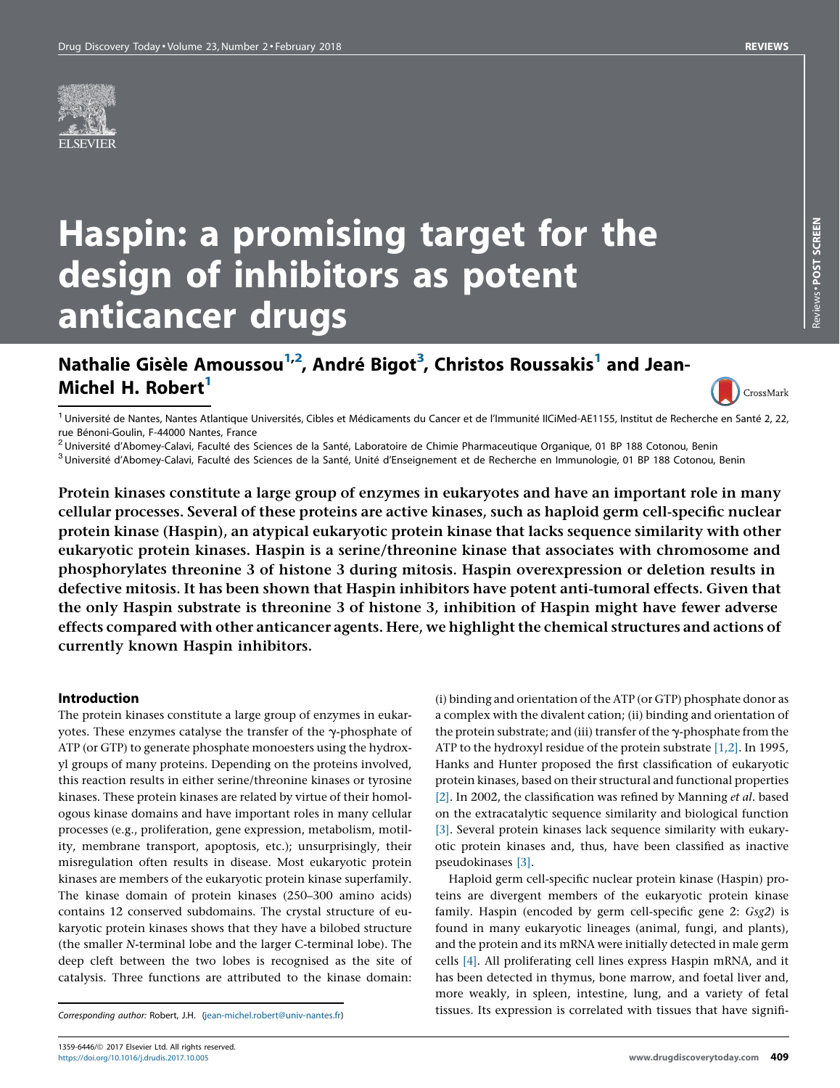

# Haspin: a promising target for the design of inhibitors as potent anticancer drugs

# Nathalie Gisèle Amoussou<sup>1,2</sup>, André Bigot<sup>3</sup>, Christos Roussakis<sup>1</sup> and Jean-Michel H. Robert<sup>1</sup>

CrossMark

<sup>1</sup> Université de Nantes, Nantes Atlantique Universités, Cibles et Médicaments du Cancer et de l'Immunité IICiMed-AE1155, Institut de Recherche en Santé 2, 22,<br>rue Bénoni-Goulin, F-44000 Nantes, France

<sup>2</sup> Université d'Abomey-Calavi, Faculté des Sciences de la Santé, Laboratoire de Chimie Pharmaceutique Organique, 01 BP 188 Cotonou, Benin<br><sup>3</sup> Université d'Abomey-Calavi, Faculté des Sciences de la Santé, Unité d'Enseignem

Protein kinases constitute a large group of enzymes in eukaryotes and have an important role in many cellular processes. Several of these proteins are active kinases, such as haploid germ cell-specific nuclear protein kinase (Haspin), an atypical eukaryotic protein kinase that lacks sequence similarity with other eukaryotic protein kinases. Haspin is a serine/threonine kinase that associates with chromosome and phosphorylates threonine 3 of histone 3 during mitosis. Haspin overexpression or deletion results in defective mitosis. It has been shown that Haspin inhibitors have potent anti-tumoral effects. Given that the only Haspin substrate is threonine 3 of histone 3, inhibition of Haspin might have fewer adverse effects compared with other anticancer agents. Here, we highlight the chemical structures and actions of currently known Haspin inhibitors.

#### Introduction

The protein kinases constitute a large group of enzymes in eukaryotes. These enzymes catalyse the transfer of the  $\gamma$ -phosphate of ATP (or GTP) to generate phosphate monoesters using the hydroxyl groups of many proteins. Depending on the proteins involved, this reaction results in either serine/threonine kinases or tyrosine kinases. These protein kinases are related by virtue of their homologous kinase domains and have important roles in many cellular processes (e.g., proliferation, gene expression, metabolism, motility, membrane transport, apoptosis, etc.); unsurprisingly, their misregulation often results in disease. Most eukaryotic protein kinases are members of the eukaryotic protein kinase superfamily. The kinase domain of protein kinases (250–300 amino acids) contains 12 conserved subdomains. The crystal structure of eukaryotic protein kinases shows that they have a bilobed structure (the smaller N-terminal lobe and the larger C-terminal lobe). The deep cleft between the two lobes is recognised as the site of catalysis. Three functions are attributed to the kinase domain:

Corresponding author: Robert, J.H. [\(jean-michel.robert@univ-nantes.fr\)](mailto:jean-michel.robert@univ-nantes.fr)

(i) binding and orientation of the ATP (or GTP) phosphate donor as a complex with the divalent cation; (ii) binding and orientation of the protein substrate; and (iii) transfer of the  $\gamma$ -phosphate from the ATP to the hydroxyl residue of the protein substrate [\[1,2\].](#page-5-0) In 1995, Hanks and Hunter proposed the first classification of eukaryotic protein kinases, based on their structural and functional properties [\[2\].](#page-5-0) In 2002, the classification was refined by Manning et al. based on the extracatalytic sequence similarity and biological function [\[3\].](#page-5-0) Several protein kinases lack sequence similarity with eukaryotic protein kinases and, thus, have been classified as inactive pseudokinases [\[3\]](#page-5-0).

Haploid germ cell-specific nuclear protein kinase (Haspin) proteins are divergent members of the eukaryotic protein kinase family. Haspin (encoded by germ cell-specific gene 2: Gsg2) is found in many eukaryotic lineages (animal, fungi, and plants), and the protein and its mRNA were initially detected in male germ cells [\[4\]](#page-5-0). All proliferating cell lines express Haspin mRNA, and it has been detected in thymus, bone marrow, and foetal liver and, more weakly, in spleen, intestine, lung, and a variety of fetal tissues. Its expression is correlated with tissues that have signifi-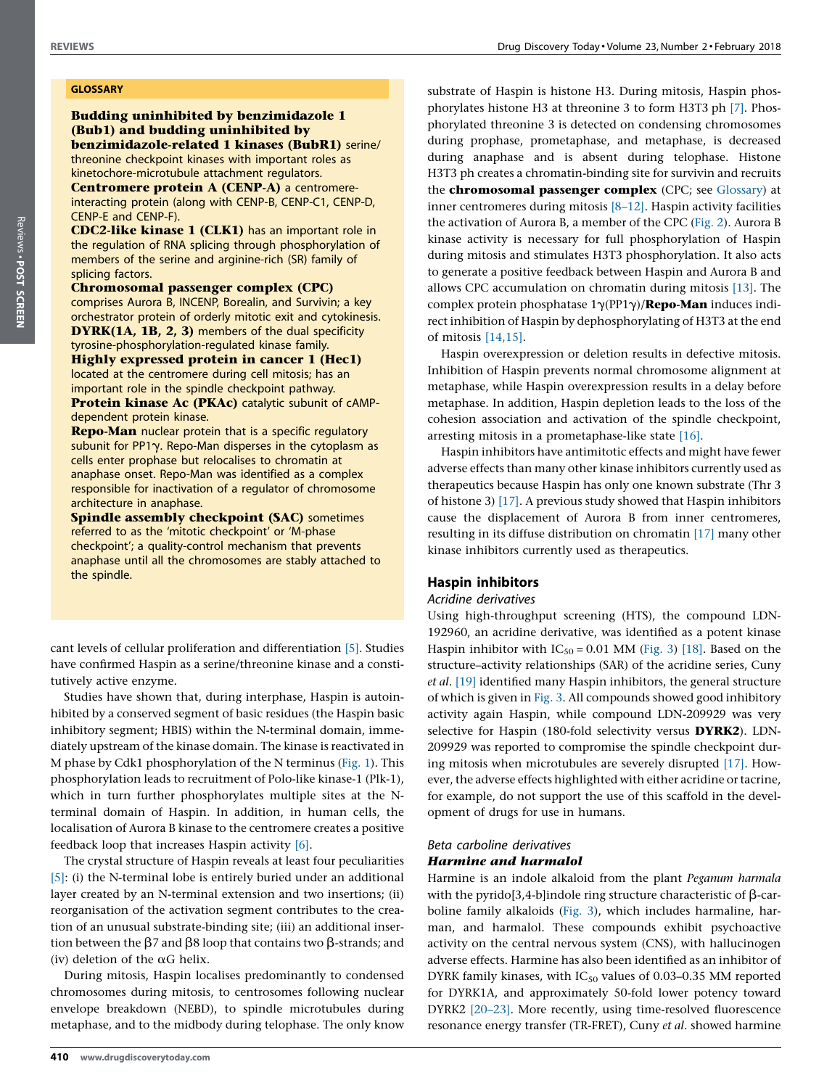#### GLOSSARY

#### Budding uninhibited by benzimidazole 1 (Bub1) and budding uninhibited by benzimidazole-related 1 kinases (BubR1) serine/ threonine checkpoint kinases with important roles as kinetochore-microtubule attachment regulators.

Centromere protein A (CENP-A) a centromereinteracting protein (along with CENP-B, CENP-C1, CENP-D, CENP-E and CENP-F).

CDC2-like kinase 1 (CLK1) has an important role in the regulation of RNA splicing through phosphorylation of members of the serine and arginine-rich (SR) family of splicing factors.

#### Chromosomal passenger complex (CPC)

comprises Aurora B, INCENP, Borealin, and Survivin; a key orchestrator protein of orderly mitotic exit and cytokinesis. DYRK(1A, 1B, 2, 3) members of the dual specificity tyrosine-phosphorylation-regulated kinase family.

Highly expressed protein in cancer 1 (Hec1) located at the centromere during cell mitosis; has an important role in the spindle checkpoint pathway. Protein kinase Ac (PKAc) catalytic subunit of cAMPdependent protein kinase.

**Repo-Man** nuclear protein that is a specific regulatory subunit for PP1 $\gamma$ . Repo-Man disperses in the cytoplasm as cells enter prophase but relocalises to chromatin at anaphase onset. Repo-Man was identified as a complex responsible for inactivation of a regulator of chromosome architecture in anaphase.

Spindle assembly checkpoint (SAC) sometimes referred to as the 'mitotic checkpoint' or 'M-phase checkpoint'; a quality-control mechanism that prevents anaphase until all the chromosomes are stably attached to the spindle.

cant levels of cellular proliferation and differentiation [\[5\].](#page-6-0) Studies have confirmed Haspin as a serine/threonine kinase and a constitutively active enzyme.

Studies have shown that, during interphase, Haspin is autoinhibited by a conserved segment of basic residues (the Haspin basic inhibitory segment; HBIS) within the N-terminal domain, immediately upstream of the kinase domain. The kinase is reactivated in M phase by Cdk1 phosphorylation of the N terminus [\(Fig.](#page-2-0) 1). This phosphorylation leads to recruitment of Polo-like kinase-1 (Plk-1), which in turn further phosphorylates multiple sites at the Nterminal domain of Haspin. In addition, in human cells, the localisation of Aurora B kinase to the centromere creates a positive feedback loop that increases Haspin activity [\[6\].](#page-6-0)

The crystal structure of Haspin reveals at least four peculiarities [\[5\]](#page-6-0): (i) the N-terminal lobe is entirely buried under an additional layer created by an N-terminal extension and two insertions; (ii) reorganisation of the activation segment contributes to the creation of an unusual substrate-binding site; (iii) an additional insertion between the  $\beta$ 7 and  $\beta$ 8 loop that contains two  $\beta$ -strands; and (iv) deletion of the  $\alpha$ G helix.

During mitosis, Haspin localises predominantly to condensed chromosomes during mitosis, to centrosomes following nuclear envelope breakdown (NEBD), to spindle microtubules during metaphase, and to the midbody during telophase. The only know

substrate of Haspin is histone H3. During mitosis, Haspin phosphorylates histone H3 at threonine 3 to form H3T3 ph [\[7\].](#page-6-0) Phosphorylated threonine 3 is detected on condensing chromosomes during prophase, prometaphase, and metaphase, is decreased during anaphase and is absent during telophase. Histone H3T3 ph creates a chromatin-binding site for survivin and recruits the **chromosomal passenger complex** (CPC; see Glossary) at inner centromeres during mitosis [\[8–12\]](#page-6-0). Haspin activity facilities the activation of Aurora B, a member of the CPC ([Fig.](#page-3-0) 2). Aurora B kinase activity is necessary for full phosphorylation of Haspin during mitosis and stimulates H3T3 phosphorylation. It also acts to generate a positive feedback between Haspin and Aurora B and allows CPC accumulation on chromatin during mitosis [\[13\].](#page-6-0) The complex protein phosphatase  $1\gamma(PP1\gamma)$ /**Repo-Man** induces indirect inhibition of Haspin by dephosphorylating of H3T3 at the end of mitosis [\[14,15\]](#page-6-0).

Haspin overexpression or deletion results in defective mitosis. Inhibition of Haspin prevents normal chromosome alignment at metaphase, while Haspin overexpression results in a delay before metaphase. In addition, Haspin depletion leads to the loss of the cohesion association and activation of the spindle checkpoint, arresting mitosis in a prometaphase-like state [\[16\].](#page-6-0)

Haspin inhibitors have antimitotic effects and might have fewer adverse effects than many other kinase inhibitors currently used as therapeutics because Haspin has only one known substrate (Thr 3 of histone 3) [\[17\].](#page-6-0) A previous study showed that Haspin inhibitors cause the displacement of Aurora B from inner centromeres, resulting in its diffuse distribution on chromatin [\[17\]](#page-6-0) many other kinase inhibitors currently used as therapeutics.

# Haspin inhibitors

# Acridine derivatives

Using high-throughput screening (HTS), the compound LDN-192960, an acridine derivative, was identified as a potent kinase Haspin inhibitor with  $IC_{50} = 0.01$  MM ([Fig.](#page-4-0) 3) [\[18\].](#page-6-0) Based on the structure–activity relationships (SAR) of the acridine series, Cuny et al. [\[19\]](#page-6-0) identified many Haspin inhibitors, the general structure of which is given in [Fig.](#page-4-0) 3. All compounds showed good inhibitory activity again Haspin, while compound LDN-209929 was very selective for Haspin (180-fold selectivity versus **DYRK2**). LDN-209929 was reported to compromise the spindle checkpoint during mitosis when microtubules are severely disrupted [\[17\]](#page-6-0). However, the adverse effects highlighted with either acridine or tacrine, for example, do not support the use of this scaffold in the development of drugs for use in humans.

# Beta carboline derivatives Harmine and harmalol

Harmine is an indole alkaloid from the plant Peganum harmala with the pyrido[3,4-b]indole ring structure characteristic of  $\beta$ -carboline family alkaloids ([Fig.](#page-4-0) 3), which includes harmaline, harman, and harmalol. These compounds exhibit psychoactive activity on the central nervous system (CNS), with hallucinogen adverse effects. Harmine has also been identified as an inhibitor of DYRK family kinases, with  $IC_{50}$  values of 0.03–0.35 MM reported for DYRK1A, and approximately 50-fold lower potency toward DYRK2 [\[20–23\]](#page-6-0). More recently, using time-resolved fluorescence resonance energy transfer (TR-FRET), Cuny et al. showed harmine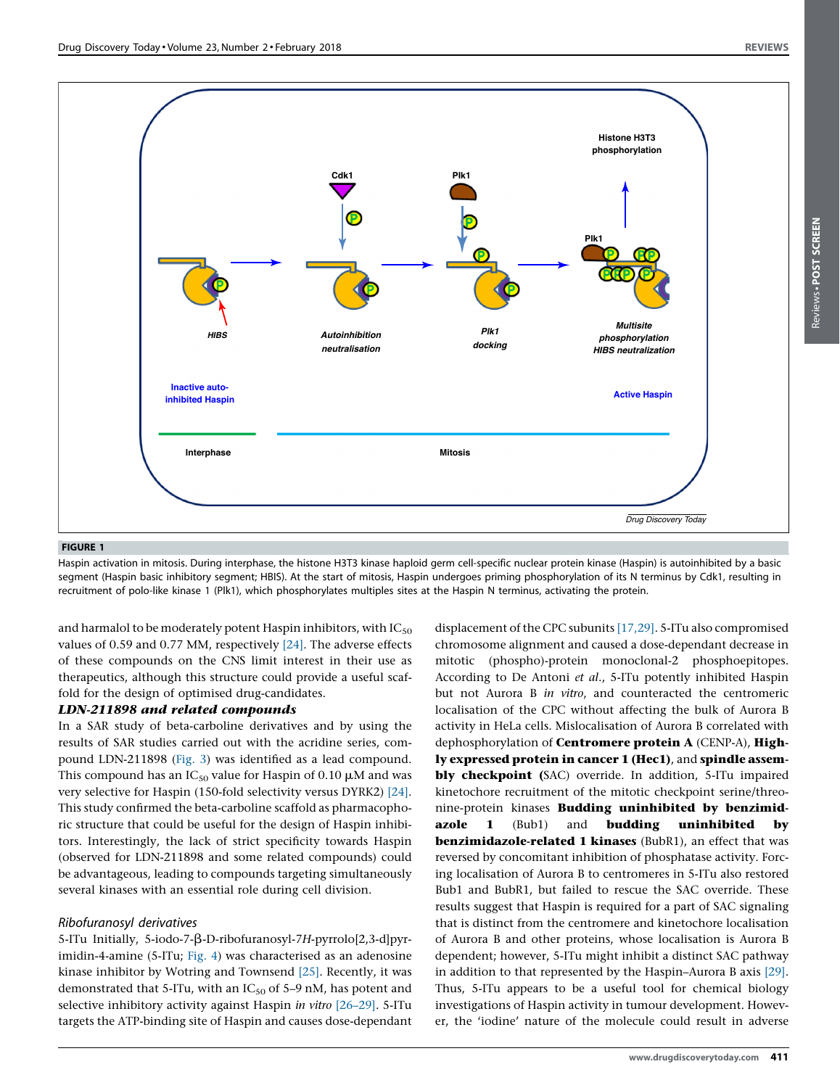Reviews POST SCREENReviews . POST SCREEN

<span id="page-2-0"></span>

#### FIGURE 1

Haspin activation in mitosis. During interphase, the histone H3T3 kinase haploid germ cell-specific nuclear protein kinase (Haspin) is autoinhibited by a basic segment (Haspin basic inhibitory segment; HBIS). At the start of mitosis, Haspin undergoes priming phosphorylation of its N terminus by Cdk1, resulting in recruitment of polo-like kinase 1 (Plk1), which phosphorylates multiples sites at the Haspin N terminus, activating the protein.

and harmalol to be moderately potent Haspin inhibitors, with  $IC_{50}$ values of 0.59 and 0.77 MM, respectively [\[24\]](#page-6-0). The adverse effects of these compounds on the CNS limit interest in their use as therapeutics, although this structure could provide a useful scaffold for the design of optimised drug-candidates.

#### LDN-211898 and related compounds

In a SAR study of beta-carboline derivatives and by using the results of SAR studies carried out with the acridine series, compound LDN-211898 [\(Fig.](#page-4-0) 3) was identified as a lead compound. This compound has an  $IC_{50}$  value for Haspin of 0.10  $\mu$ M and was very selective for Haspin (150-fold selectivity versus DYRK2) [\[24\].](#page-6-0) This study confirmed the beta-carboline scaffold as pharmacophoric structure that could be useful for the design of Haspin inhibitors. Interestingly, the lack of strict specificity towards Haspin (observed for LDN-211898 and some related compounds) could be advantageous, leading to compounds targeting simultaneously several kinases with an essential role during cell division.

#### Ribofuranosyl derivatives

5-ITu Initially, 5-iodo-7- $\beta$ -D-ribofuranosyl-7H-pyrrolo[2,3-d]pyrimidin-4-amine (5-ITu; [Fig.](#page-5-0) 4) was characterised as an adenosine kinase inhibitor by Wotring and Townsend [\[25\]](#page-6-0). Recently, it was demonstrated that 5-ITu, with an  $IC_{50}$  of 5–9 nM, has potent and selective inhibitory activity against Haspin *in vitro* [\[26–29\]](#page-6-0). 5-ITu targets the ATP-binding site of Haspin and causes dose-dependant

displacement of the CPC subunits [\[17,29\].](#page-6-0) 5-ITu also compromised chromosome alignment and caused a dose-dependant decrease in mitotic (phospho)-protein monoclonal-2 phosphoepitopes. According to De Antoni et al., 5-ITu potently inhibited Haspin but not Aurora B in vitro, and counteracted the centromeric localisation of the CPC without affecting the bulk of Aurora B activity in HeLa cells. Mislocalisation of Aurora B correlated with dephosphorylation of **Centromere protein A** (CENP-A), **High**ly expressed protein in cancer 1 (Hec1), and spindle assembly checkpoint (SAC) override. In addition, 5-ITu impaired kinetochore recruitment of the mitotic checkpoint serine/threonine-protein kinases Budding uninhibited by benzimidazole 1 (Bub1) and **budding uninhibited by** benzimidazole-related 1 kinases (BubR1), an effect that was reversed by concomitant inhibition of phosphatase activity. Forcing localisation of Aurora B to centromeres in 5-ITu also restored Bub1 and BubR1, but failed to rescue the SAC override. These results suggest that Haspin is required for a part of SAC signaling that is distinct from the centromere and kinetochore localisation of Aurora B and other proteins, whose localisation is Aurora B dependent; however, 5-ITu might inhibit a distinct SAC pathway in addition to that represented by the Haspin–Aurora B axis [\[29\].](#page-6-0) Thus, 5-ITu appears to be a useful tool for chemical biology investigations of Haspin activity in tumour development. However, the 'iodine' nature of the molecule could result in adverse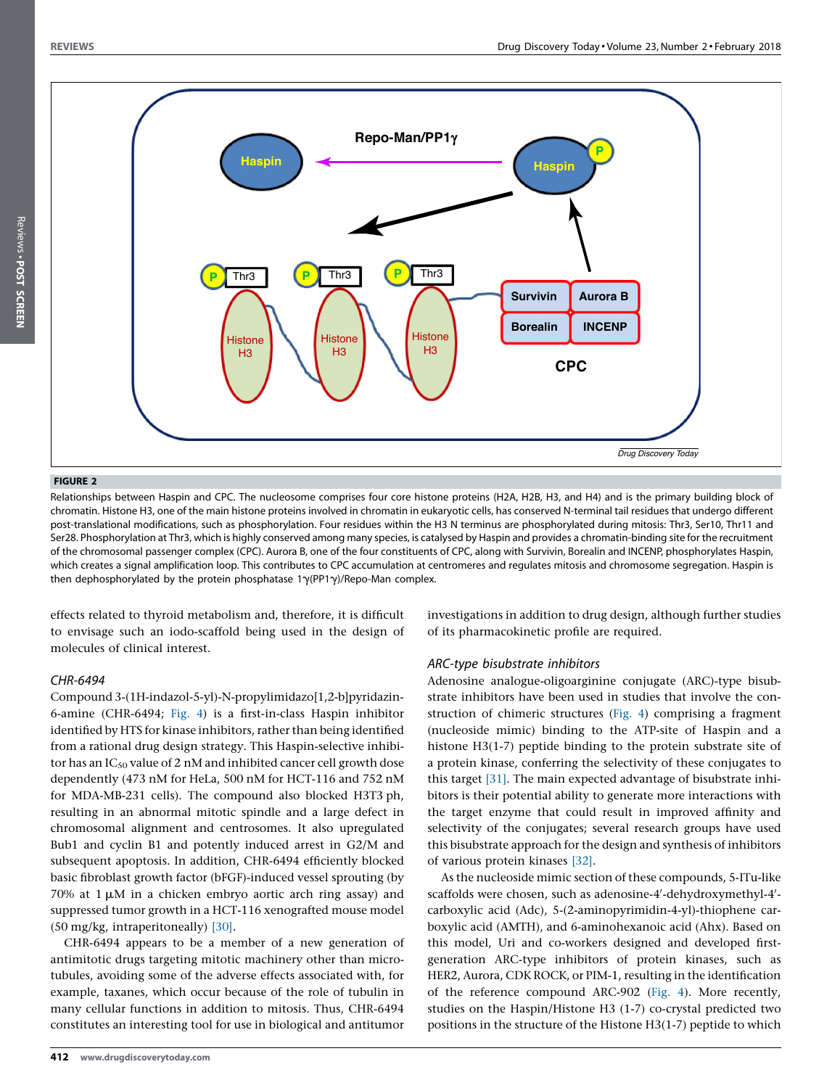<span id="page-3-0"></span>

#### FIGURE 2

Relationships between Haspin and CPC. The nucleosome comprises four core histone proteins (H2A, H2B, H3, and H4) and is the primary building block of chromatin. Histone H3, one of the main histone proteins involved in chromatin in eukaryotic cells, has conserved N-terminal tail residues that undergo different post-translational modifications, such as phosphorylation. Four residues within the H3 N terminus are phosphorylated during mitosis: Thr3, Ser10, Thr11 and Ser28. Phosphorylation at Thr3, which is highly conserved among many species, is catalysed by Haspin and provides a chromatin-binding site for the recruitment of the chromosomal passenger complex (CPC). Aurora B, one of the four constituents of CPC, along with Survivin, Borealin and INCENP, phosphorylates Haspin, which creates a signal amplification loop. This contributes to CPC accumulation at centromeres and regulates mitosis and chromosome segregation. Haspin is then dephosphorylated by the protein phosphatase  $1\gamma(PP1\gamma)/\text{Repo-Man complex.}$ 

effects related to thyroid metabolism and, therefore, it is difficult to envisage such an iodo-scaffold being used in the design of molecules of clinical interest.

# CHR-6494

Compound 3-(1H-indazol-5-yl)-N-propylimidazo[1,2-b]pyridazin-6-amine (CHR-6494; [Fig.](#page-5-0) 4) is a first-in-class Haspin inhibitor identified by HTS for kinase inhibitors, rather than being identified from a rational drug design strategy. This Haspin-selective inhibitor has an  $IC_{50}$  value of 2 nM and inhibited cancer cell growth dose dependently (473 nM for HeLa, 500 nM for HCT-116 and 752 nM for MDA-MB-231 cells). The compound also blocked H3T3 ph, resulting in an abnormal mitotic spindle and a large defect in chromosomal alignment and centrosomes. It also upregulated Bub1 and cyclin B1 and potently induced arrest in G2/M and subsequent apoptosis. In addition, CHR-6494 efficiently blocked basic fibroblast growth factor (bFGF)-induced vessel sprouting (by 70% at  $1 \mu$ M in a chicken embryo aortic arch ring assay) and suppressed tumor growth in a HCT-116 xenografted mouse model (50 mg/kg, intraperitoneally) [\[30\].](#page-6-0)

CHR-6494 appears to be a member of a new generation of antimitotic drugs targeting mitotic machinery other than microtubules, avoiding some of the adverse effects associated with, for example, taxanes, which occur because of the role of tubulin in many cellular functions in addition to mitosis. Thus, CHR-6494 constitutes an interesting tool for use in biological and antitumor

investigations in addition to drug design, although further studies of its pharmacokinetic profile are required.

# ARC-type bisubstrate inhibitors

Adenosine analogue-oligoarginine conjugate (ARC)-type bisubstrate inhibitors have been used in studies that involve the construction of chimeric structures [\(Fig.](#page-5-0) 4) comprising a fragment (nucleoside mimic) binding to the ATP-site of Haspin and a histone H3(1-7) peptide binding to the protein substrate site of a protein kinase, conferring the selectivity of these conjugates to this target [\[31\].](#page-6-0) The main expected advantage of bisubstrate inhibitors is their potential ability to generate more interactions with the target enzyme that could result in improved affinity and selectivity of the conjugates; several research groups have used this bisubstrate approach for the design and synthesis of inhibitors of various protein kinases [\[32\]](#page-6-0).

As the nucleoside mimic section of these compounds, 5-ITu-like scaffolds were chosen, such as adenosine-4'-dehydroxymethyl-4'carboxylic acid (Adc), 5-(2-aminopyrimidin-4-yl)-thiophene carboxylic acid (AMTH), and 6-aminohexanoic acid (Ahx). Based on this model, Uri and co-workers designed and developed firstgeneration ARC-type inhibitors of protein kinases, such as HER2, Aurora, CDK ROCK, or PIM-1, resulting in the identification of the reference compound ARC-902 [\(Fig.](#page-5-0) 4). More recently, studies on the Haspin/Histone H3 (1-7) co-crystal predicted two positions in the structure of the Histone H3(1-7) peptide to which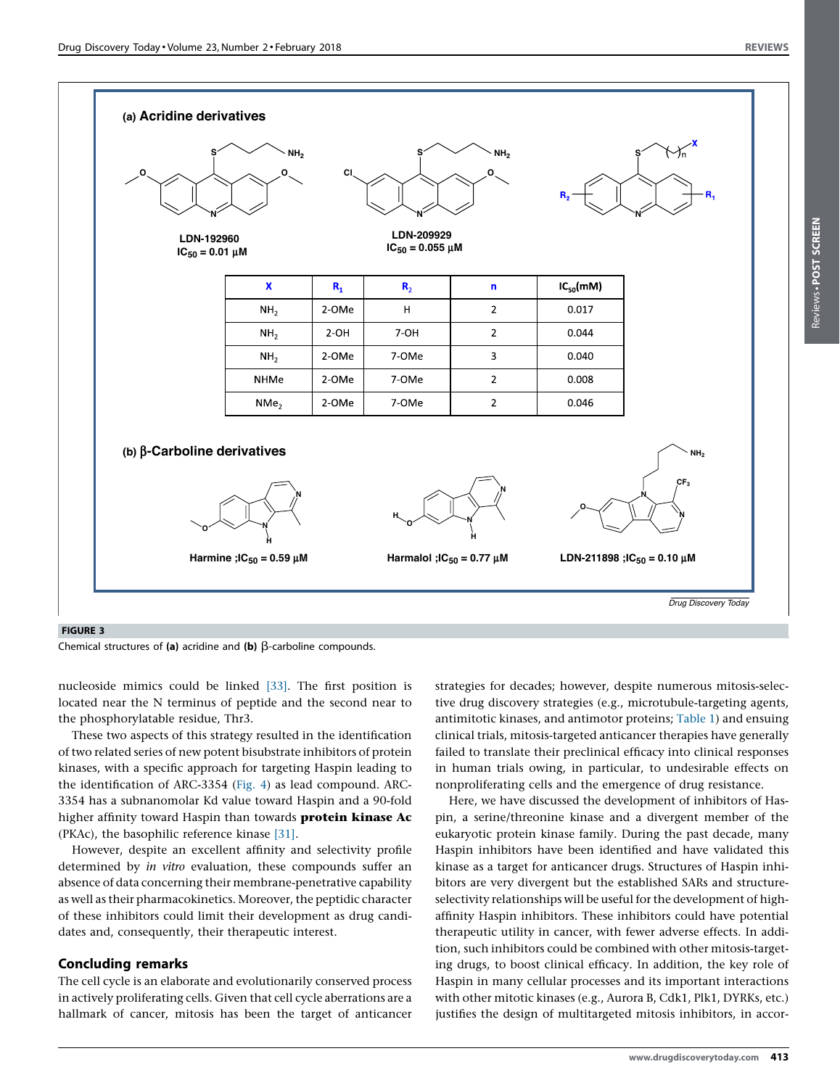Reviews POST SCREENReviews . POST SCREEN

<span id="page-4-0"></span>![](_page_4_Figure_2.jpeg)

#### FIGURE 3

Chemical structures of (a) acridine and (b)  $\beta$ -carboline compounds.

nucleoside mimics could be linked [\[33\].](#page-6-0) The first position is located near the N terminus of peptide and the second near to the phosphorylatable residue, Thr3.

These two aspects of this strategy resulted in the identification of two related series of new potent bisubstrate inhibitors of protein kinases, with a specific approach for targeting Haspin leading to the identification of ARC-3354 [\(Fig.](#page-5-0) 4) as lead compound. ARC-3354 has a subnanomolar Kd value toward Haspin and a 90-fold higher affinity toward Haspin than towards protein kinase Ac (PKAc), the basophilic reference kinase [\[31\]](#page-6-0).

However, despite an excellent affinity and selectivity profile determined by in vitro evaluation, these compounds suffer an absence of data concerning their membrane-penetrative capability as well as their pharmacokinetics. Moreover, the peptidic character of these inhibitors could limit their development as drug candidates and, consequently, their therapeutic interest.

## Concluding remarks

The cell cycle is an elaborate and evolutionarily conserved process in actively proliferating cells. Given that cell cycle aberrations are a hallmark of cancer, mitosis has been the target of anticancer strategies for decades; however, despite numerous mitosis-selective drug discovery strategies (e.g., microtubule-targeting agents, antimitotic kinases, and antimotor proteins; [Table](#page-5-0) 1) and ensuing clinical trials, mitosis-targeted anticancer therapies have generally failed to translate their preclinical efficacy into clinical responses in human trials owing, in particular, to undesirable effects on nonproliferating cells and the emergence of drug resistance.

Here, we have discussed the development of inhibitors of Haspin, a serine/threonine kinase and a divergent member of the eukaryotic protein kinase family. During the past decade, many Haspin inhibitors have been identified and have validated this kinase as a target for anticancer drugs. Structures of Haspin inhibitors are very divergent but the established SARs and structureselectivity relationships will be useful for the development of highaffinity Haspin inhibitors. These inhibitors could have potential therapeutic utility in cancer, with fewer adverse effects. In addition, such inhibitors could be combined with other mitosis-targeting drugs, to boost clinical efficacy. In addition, the key role of Haspin in many cellular processes and its important interactions with other mitotic kinases (e.g., Aurora B, Cdk1, Plk1, DYRKs, etc.) justifies the design of multitargeted mitosis inhibitors, in accor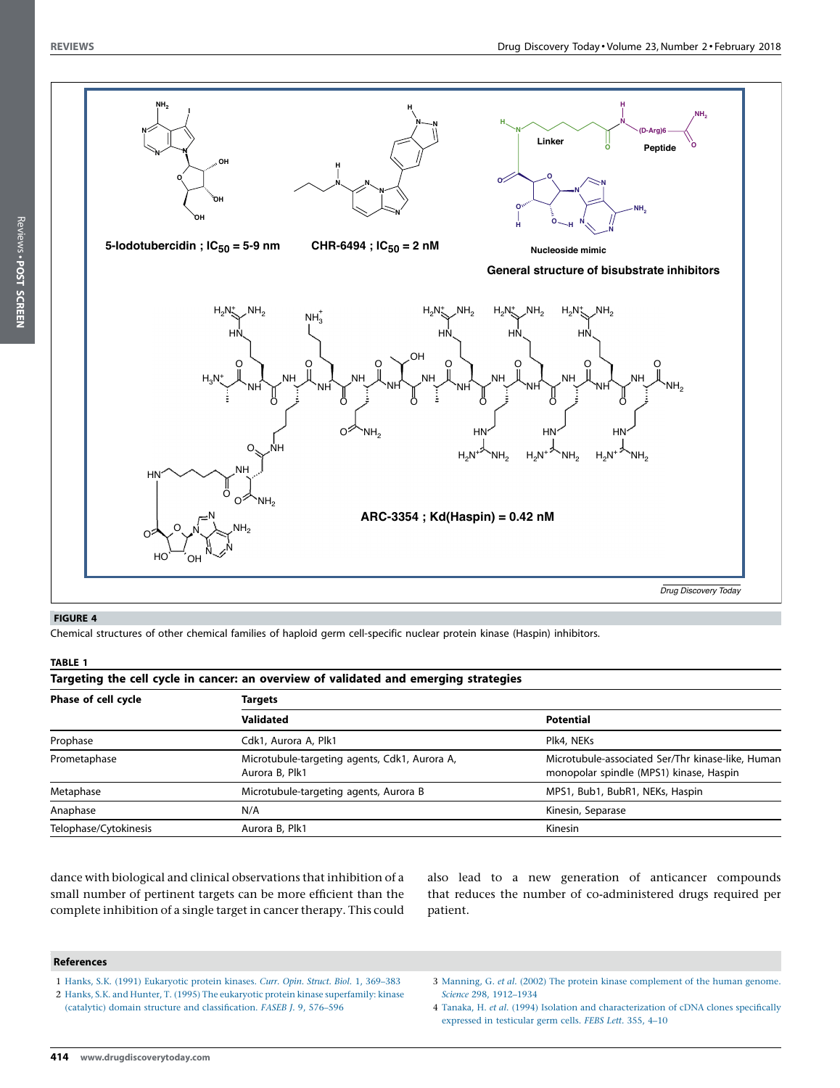Reviews • POST SCREEN

<span id="page-5-0"></span>![](_page_5_Figure_2.jpeg)

### FIGURE 4

Chemical structures of other chemical families of haploid germ cell-specific nuclear protein kinase (Haspin) inhibitors.

#### TABLE 1

| Targeting the cell cycle in cancer: an overview of validated and emerging strategies |  |  |
|--------------------------------------------------------------------------------------|--|--|
|--------------------------------------------------------------------------------------|--|--|

| Phase of cell cycle   | Targets                                                         |                                                                                              |  |
|-----------------------|-----------------------------------------------------------------|----------------------------------------------------------------------------------------------|--|
|                       | <b>Validated</b>                                                | <b>Potential</b>                                                                             |  |
| Prophase              | Cdk1, Aurora A, Plk1                                            | Plk4, NEKs                                                                                   |  |
| Prometaphase          | Microtubule-targeting agents, Cdk1, Aurora A,<br>Aurora B, Plk1 | Microtubule-associated Ser/Thr kinase-like, Human<br>monopolar spindle (MPS1) kinase, Haspin |  |
| Metaphase             | Microtubule-targeting agents, Aurora B                          | MPS1, Bub1, BubR1, NEKs, Haspin                                                              |  |
| Anaphase              | N/A                                                             | Kinesin, Separase                                                                            |  |
| Telophase/Cytokinesis | Aurora B, Plk1                                                  | Kinesin                                                                                      |  |

dance with biological and clinical observations that inhibition of a small number of pertinent targets can be more efficient than the complete inhibition of a single target in cancer therapy. This could

also lead to a new generation of anticancer compounds that reduces the number of co-administered drugs required per patient.

#### References

- 1 Hanks, S.K. (1991) [Eukaryotic](http://refhub.elsevier.com/S1359-6446(16)30416-0/sbref0005) protein kinases. Curr. Opin. Struct. Biol. 1, 369–383
- 2 Hanks, S.K. and Hunter, T. (1995) The eukaryotic protein kinase [superfamily:](http://refhub.elsevier.com/S1359-6446(16)30416-0/sbref0010) kinase (catalytic) domain structure and [classification.](http://refhub.elsevier.com/S1359-6446(16)30416-0/sbref0010) FASEB J. 9, 576–596
- 3 Manning, G. et al. (2002) The protein kinase [complement](http://refhub.elsevier.com/S1359-6446(16)30416-0/sbref0015) of the human genome. Science 298, [1912–1934](http://refhub.elsevier.com/S1359-6446(16)30416-0/sbref0015)
- 4 Tanaka, H. et al. (1994) Isolation and [characterization](http://refhub.elsevier.com/S1359-6446(16)30416-0/sbref0020) of cDNA clones specifically [expressed](http://refhub.elsevier.com/S1359-6446(16)30416-0/sbref0020) in testicular germ cells. FEBS Lett. 355, 4–10